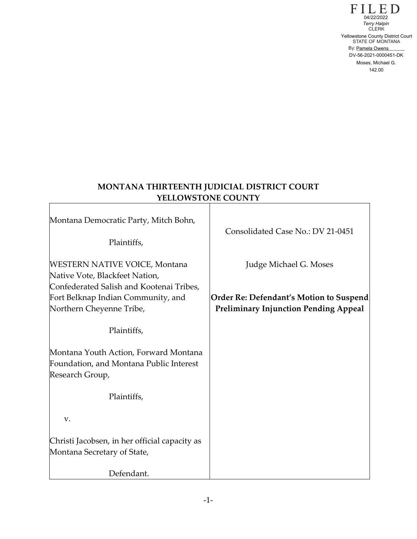$\Gamma$  LLED STATE OF MONTANA By: Pamela Owens Terry Halpin<br>CLERK 1422/2022<br>
Terry Halpin<br>
CLERK<br>
Yellowstone County District Court<br>
STATE OF MONTANA<br>
By: <u>Pamela Owens</u><br>
DV-56-2021-0000451-DK<br>
Moses, Michael G.<br>
142.00

# **MONTANA THIRTEENTH JUDICIAL DISTRICT COURT YELLOWSTONE COUNTY**

Г

| Montana Democratic Party, Mitch Bohn,<br>Plaintiffs,                                                       | Consolidated Case No.: DV 21-0451                                                       |
|------------------------------------------------------------------------------------------------------------|-----------------------------------------------------------------------------------------|
| <b>WESTERN NATIVE VOICE, Montana</b><br>Native Vote, Blackfeet Nation,                                     | Judge Michael G. Moses                                                                  |
| Confederated Salish and Kootenai Tribes,<br>Fort Belknap Indian Community, and<br>Northern Cheyenne Tribe, | Order Re: Defendant's Motion to Suspend<br><b>Preliminary Injunction Pending Appeal</b> |
| Plaintiffs,                                                                                                |                                                                                         |
| Montana Youth Action, Forward Montana<br>Foundation, and Montana Public Interest<br>Research Group,        |                                                                                         |
| Plaintiffs,                                                                                                |                                                                                         |
| V.                                                                                                         |                                                                                         |
| Christi Jacobsen, in her official capacity as<br>Montana Secretary of State,                               |                                                                                         |
| Defendant.                                                                                                 |                                                                                         |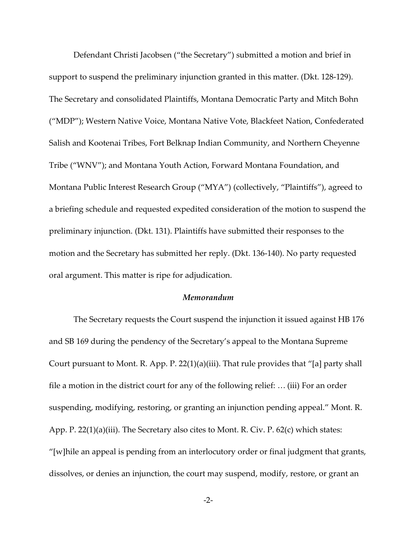Defendant Christi Jacobsen ("the Secretary") submitted a motion and brief in support to suspend the preliminary injunction granted in this matter. (Dkt. 128-129). The Secretary and consolidated Plaintiffs, Montana Democratic Party and Mitch Bohn ("MDP"); Western Native Voice, Montana Native Vote, Blackfeet Nation, Confederated Salish and Kootenai Tribes, Fort Belknap Indian Community, and Northern Cheyenne Tribe ("WNV"); and Montana Youth Action, Forward Montana Foundation, and Montana Public Interest Research Group ("MYA") (collectively, "Plaintiffs"), agreed to a briefing schedule and requested expedited consideration of the motion to suspend the preliminary injunction. (Dkt. 131). Plaintiffs have submitted their responses to the motion and the Secretary has submitted her reply. (Dkt. 136-140). No party requested oral argument. This matter is ripe for adjudication.

#### *Memorandum*

The Secretary requests the Court suspend the injunction it issued against HB 176 and SB 169 during the pendency of the Secretary's appeal to the Montana Supreme Court pursuant to Mont. R. App. P. 22(1)(a)(iii). That rule provides that "[a] party shall file a motion in the district court for any of the following relief: … (iii) For an order suspending, modifying, restoring, or granting an injunction pending appeal." Mont. R. App. P. 22(1)(a)(iii). The Secretary also cites to Mont. R. Civ. P. 62(c) which states: "[w]hile an appeal is pending from an interlocutory order or final judgment that grants, dissolves, or denies an injunction, the court may suspend, modify, restore, or grant an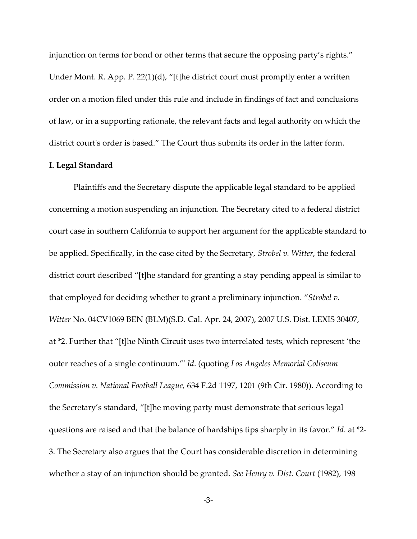injunction on terms for bond or other terms that secure the opposing party's rights." Under Mont. R. App. P. 22(1)(d), "[t]he district court must promptly enter a written order on a motion filed under this rule and include in findings of fact and conclusions of law, or in a supporting rationale, the relevant facts and legal authority on which the district court's order is based." The Court thus submits its order in the latter form.

#### **I. Legal Standard**

Plaintiffs and the Secretary dispute the applicable legal standard to be applied concerning a motion suspending an injunction. The Secretary cited to a federal district court case in southern California to support her argument for the applicable standard to be applied. Specifically, in the case cited by the Secretary, *Strobel v. Witter*, the federal district court described "[t]he standard for granting a stay pending appeal is similar to that employed for deciding whether to grant a preliminary injunction. "*Strobel v. Witter* No. 04CV1069 BEN (BLM)(S.D. Cal. Apr. 24, 2007), 2007 U.S. Dist. LEXIS 30407, at \*2. Further that "[t]he Ninth Circuit uses two interrelated tests, which represent 'the outer reaches of a single continuum.'" *Id*. (quoting *Los Angeles Memorial Coliseum Commission v. National Football League,* 634 F.2d 1197, 1201 (9th Cir. 1980)). According to the Secretary's standard, "[t]he moving party must demonstrate that serious legal questions are raised and that the balance of hardships tips sharply in its favor." *Id*. at \*2- 3. The Secretary also argues that the Court has considerable discretion in determining whether a stay of an injunction should be granted. *See Henry v. Dist. Court* (1982), 198

-3-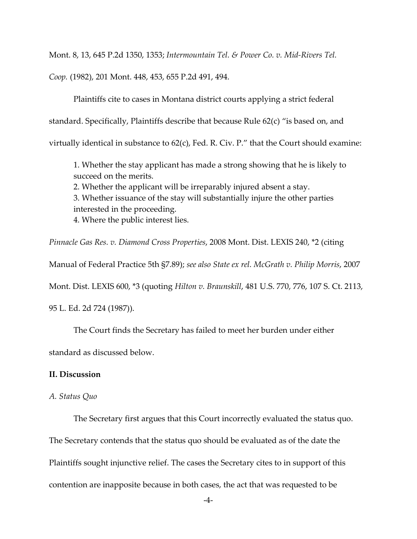Mont. 8, 13, 645 P.2d 1350, 1353; *Intermountain Tel. & Power Co. v. Mid-Rivers Tel.* 

*Coop.* (1982), 201 Mont. 448, 453, 655 P.2d 491, 494.

Plaintiffs cite to cases in Montana district courts applying a strict federal standard. Specifically, Plaintiffs describe that because Rule 62(c) "is based on, and virtually identical in substance to 62(c), Fed. R. Civ. P." that the Court should examine:

1. Whether the stay applicant has made a strong showing that he is likely to succeed on the merits.

2. Whether the applicant will be irreparably injured absent a stay. 3. Whether issuance of the stay will substantially injure the other parties

interested in the proceeding.

4. Where the public interest lies.

*Pinnacle Gas Res. v. Diamond Cross Properties*, 2008 Mont. Dist. LEXIS 240, \*2 (citing

Manual of Federal Practice 5th §7.89); *see also State ex rel. McGrath v. Philip Morris*, 2007

Mont. Dist. LEXIS 600, \*3 (quoting *Hilton v. Braunskill*, 481 U.S. 770, 776, 107 S. Ct. 2113,

95 L. Ed. 2d 724 (1987)).

The Court finds the Secretary has failed to meet her burden under either

standard as discussed below.

# **II. Discussion**

## *A. Status Quo*

The Secretary first argues that this Court incorrectly evaluated the status quo. The Secretary contends that the status quo should be evaluated as of the date the Plaintiffs sought injunctive relief. The cases the Secretary cites to in support of this contention are inapposite because in both cases, the act that was requested to be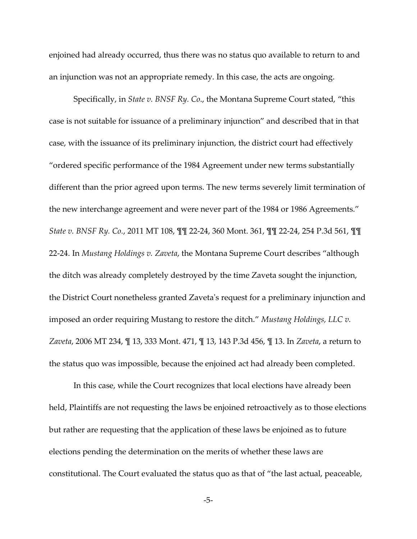enjoined had already occurred, thus there was no status quo available to return to and an injunction was not an appropriate remedy. In this case, the acts are ongoing.

Specifically, in *State v. BNSF Ry. Co*., the Montana Supreme Court stated, "this case is not suitable for issuance of a preliminary injunction" and described that in that case, with the issuance of its preliminary injunction, the district court had effectively "ordered specific performance of the 1984 Agreement under new terms substantially different than the prior agreed upon terms. The new terms severely limit termination of the new interchange agreement and were never part of the 1984 or 1986 Agreements." *State v. BNSF Ry. Co.*, 2011 MT 108, ¶¶ 22-24, 360 Mont. 361, ¶¶ 22-24, 254 P.3d 561, ¶¶ 22-24. In *Mustang Holdings v. Zaveta*, the Montana Supreme Court describes "although the ditch was already completely destroyed by the time Zaveta sought the injunction, the District Court nonetheless granted Zaveta's request for a preliminary injunction and imposed an order requiring Mustang to restore the ditch." *Mustang Holdings, LLC v. Zaveta*, 2006 MT 234, ¶ 13, 333 Mont. 471, ¶ 13, 143 P.3d 456, ¶ 13. In *Zaveta*, a return to the status quo was impossible, because the enjoined act had already been completed.

In this case, while the Court recognizes that local elections have already been held, Plaintiffs are not requesting the laws be enjoined retroactively as to those elections but rather are requesting that the application of these laws be enjoined as to future elections pending the determination on the merits of whether these laws are constitutional. The Court evaluated the status quo as that of "the last actual, peaceable,

-5-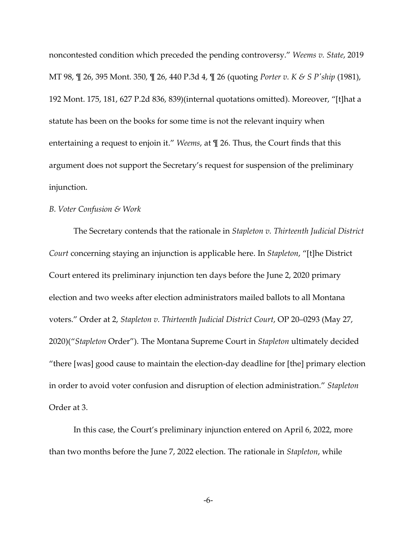noncontested condition which preceded the pending controversy." *Weems v. State*, 2019 MT 98, ¶ 26, 395 Mont. 350, ¶ 26, 440 P.3d 4, ¶ 26 (quoting *Porter v. K & S P'ship* (1981), 192 Mont. 175, 181, 627 P.2d 836, 839)(internal quotations omitted). Moreover, "[t]hat a statute has been on the books for some time is not the relevant inquiry when entertaining a request to enjoin it." *Weems*, at ¶ 26. Thus, the Court finds that this argument does not support the Secretary's request for suspension of the preliminary injunction.

## *B. Voter Confusion & Work*

The Secretary contends that the rationale in *Stapleton v. Thirteenth Judicial District Court* concerning staying an injunction is applicable here. In *Stapleton*, "[t]he District Court entered its preliminary injunction ten days before the June 2, 2020 primary election and two weeks after election administrators mailed ballots to all Montana voters." Order at 2, *Stapleton v. Thirteenth Judicial District Court*, OP 20–0293 (May 27, 2020)("*Stapleton* Order"). The Montana Supreme Court in *Stapleton* ultimately decided "there [was] good cause to maintain the election-day deadline for [the] primary election in order to avoid voter confusion and disruption of election administration." *Stapleton* Order at 3.

In this case, the Court's preliminary injunction entered on April 6, 2022, more than two months before the June 7, 2022 election. The rationale in *Stapleton*, while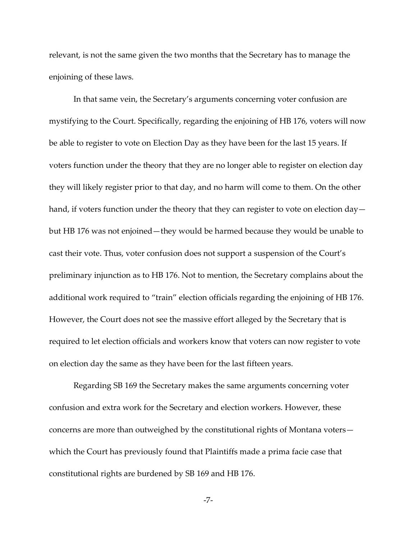relevant, is not the same given the two months that the Secretary has to manage the enjoining of these laws.

In that same vein, the Secretary's arguments concerning voter confusion are mystifying to the Court. Specifically, regarding the enjoining of HB 176, voters will now be able to register to vote on Election Day as they have been for the last 15 years. If voters function under the theory that they are no longer able to register on election day they will likely register prior to that day, and no harm will come to them. On the other hand, if voters function under the theory that they can register to vote on election daybut HB 176 was not enjoined—they would be harmed because they would be unable to cast their vote. Thus, voter confusion does not support a suspension of the Court's preliminary injunction as to HB 176. Not to mention, the Secretary complains about the additional work required to "train" election officials regarding the enjoining of HB 176. However, the Court does not see the massive effort alleged by the Secretary that is required to let election officials and workers know that voters can now register to vote on election day the same as they have been for the last fifteen years.

Regarding SB 169 the Secretary makes the same arguments concerning voter confusion and extra work for the Secretary and election workers. However, these concerns are more than outweighed by the constitutional rights of Montana voters which the Court has previously found that Plaintiffs made a prima facie case that constitutional rights are burdened by SB 169 and HB 176.

-7-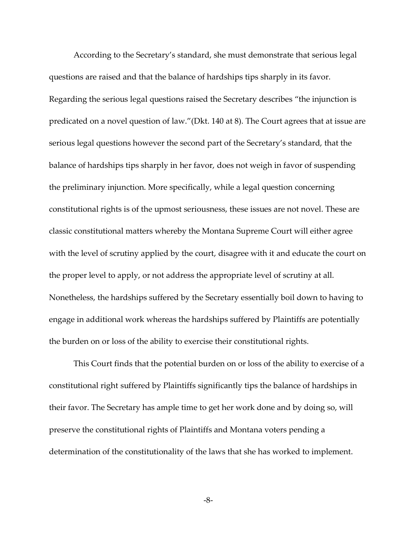According to the Secretary's standard, she must demonstrate that serious legal questions are raised and that the balance of hardships tips sharply in its favor. Regarding the serious legal questions raised the Secretary describes "the injunction is predicated on a novel question of law."(Dkt. 140 at 8). The Court agrees that at issue are serious legal questions however the second part of the Secretary's standard, that the balance of hardships tips sharply in her favor, does not weigh in favor of suspending the preliminary injunction. More specifically, while a legal question concerning constitutional rights is of the upmost seriousness, these issues are not novel. These are classic constitutional matters whereby the Montana Supreme Court will either agree with the level of scrutiny applied by the court, disagree with it and educate the court on the proper level to apply, or not address the appropriate level of scrutiny at all. Nonetheless, the hardships suffered by the Secretary essentially boil down to having to engage in additional work whereas the hardships suffered by Plaintiffs are potentially the burden on or loss of the ability to exercise their constitutional rights.

This Court finds that the potential burden on or loss of the ability to exercise of a constitutional right suffered by Plaintiffs significantly tips the balance of hardships in their favor. The Secretary has ample time to get her work done and by doing so, will preserve the constitutional rights of Plaintiffs and Montana voters pending a determination of the constitutionality of the laws that she has worked to implement.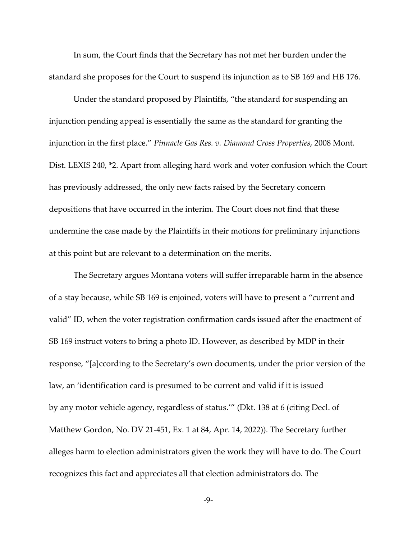In sum, the Court finds that the Secretary has not met her burden under the standard she proposes for the Court to suspend its injunction as to SB 169 and HB 176.

Under the standard proposed by Plaintiffs, "the standard for suspending an injunction pending appeal is essentially the same as the standard for granting the injunction in the first place." *Pinnacle Gas Res. v. Diamond Cross Properties*, 2008 Mont. Dist. LEXIS 240, \*2. Apart from alleging hard work and voter confusion which the Court has previously addressed, the only new facts raised by the Secretary concern depositions that have occurred in the interim. The Court does not find that these undermine the case made by the Plaintiffs in their motions for preliminary injunctions at this point but are relevant to a determination on the merits.

The Secretary argues Montana voters will suffer irreparable harm in the absence of a stay because, while SB 169 is enjoined, voters will have to present a "current and valid" ID, when the voter registration confirmation cards issued after the enactment of SB 169 instruct voters to bring a photo ID. However, as described by MDP in their response, "[a]ccording to the Secretary's own documents, under the prior version of the law, an 'identification card is presumed to be current and valid if it is issued by any motor vehicle agency, regardless of status.'" (Dkt. 138 at 6 (citing Decl. of Matthew Gordon, No. DV 21-451, Ex. 1 at 84, Apr. 14, 2022)). The Secretary further alleges harm to election administrators given the work they will have to do. The Court recognizes this fact and appreciates all that election administrators do. The

-9-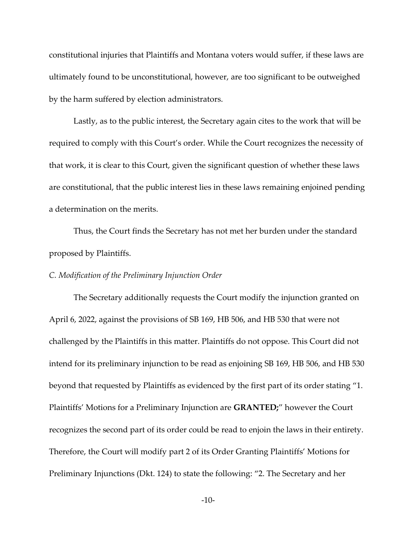constitutional injuries that Plaintiffs and Montana voters would suffer, if these laws are ultimately found to be unconstitutional, however, are too significant to be outweighed by the harm suffered by election administrators.

Lastly, as to the public interest, the Secretary again cites to the work that will be required to comply with this Court's order. While the Court recognizes the necessity of that work, it is clear to this Court, given the significant question of whether these laws are constitutional, that the public interest lies in these laws remaining enjoined pending a determination on the merits.

Thus, the Court finds the Secretary has not met her burden under the standard proposed by Plaintiffs.

### *C. Modification of the Preliminary Injunction Order*

The Secretary additionally requests the Court modify the injunction granted on April 6, 2022, against the provisions of SB 169, HB 506, and HB 530 that were not challenged by the Plaintiffs in this matter. Plaintiffs do not oppose. This Court did not intend for its preliminary injunction to be read as enjoining SB 169, HB 506, and HB 530 beyond that requested by Plaintiffs as evidenced by the first part of its order stating "1. Plaintiffs' Motions for a Preliminary Injunction are **GRANTED;**" however the Court recognizes the second part of its order could be read to enjoin the laws in their entirety. Therefore, the Court will modify part 2 of its Order Granting Plaintiffs' Motions for Preliminary Injunctions (Dkt. 124) to state the following: "2. The Secretary and her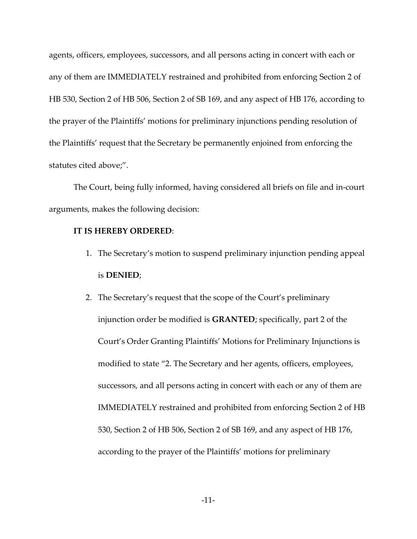agents, officers, employees, successors, and all persons acting in concert with each or any of them are IMMEDIATELY restrained and prohibited from enforcing Section 2 of HB 530, Section 2 of HB 506, Section 2 of SB 169, and any aspect of HB 176, according to the prayer of the Plaintiffs' motions for preliminary injunctions pending resolution of the Plaintiffs' request that the Secretary be permanently enjoined from enforcing the statutes cited above;".

The Court, being fully informed, having considered all briefs on file and in-court arguments, makes the following decision:

#### **IT IS HEREBY ORDERED**:

- 1. The Secretary's motion to suspend preliminary injunction pending appeal is **DENIED**;
- 2. The Secretary's request that the scope of the Court's preliminary injunction order be modified is **GRANTED**; specifically, part 2 of the Court's Order Granting Plaintiffs' Motions for Preliminary Injunctions is modified to state "2. The Secretary and her agents, officers, employees, successors, and all persons acting in concert with each or any of them are IMMEDIATELY restrained and prohibited from enforcing Section 2 of HB 530, Section 2 of HB 506, Section 2 of SB 169, and any aspect of HB 176, according to the prayer of the Plaintiffs' motions for preliminary